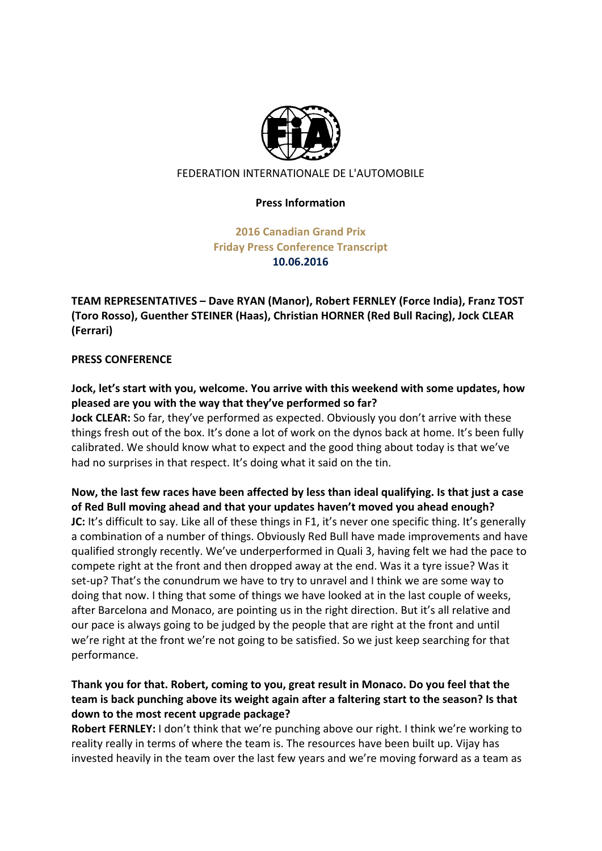

#### FEDERATION INTERNATIONALE DE L'AUTOMOBILE

#### **Press Information**

**2016 Canadian Grand Prix Friday Press Conference Transcript 10.06.2016**

**TEAM REPRESENTATIVES - Dave RYAN (Manor), Robert FERNLEY (Force India), Franz TOST (Toro Rosso), Guenther STEINER (Haas), Christian HORNER (Red Bull Racing), Jock CLEAR (Ferrari)**

#### **PRESS CONFERENCE**

Jock, let's start with you, welcome. You arrive with this weekend with some updates, how pleased are you with the way that they've performed so far?

**Jock CLEAR:** So far, they've performed as expected. Obviously you don't arrive with these things fresh out of the box. It's done a lot of work on the dynos back at home. It's been fully calibrated. We should know what to expect and the good thing about today is that we've had no surprises in that respect. It's doing what it said on the tin.

Now, the last few races have been affected by less than ideal qualifying. Is that just a case of Red Bull moving ahead and that your updates haven't moved you ahead enough? **JC:** It's difficult to say. Like all of these things in F1, it's never one specific thing. It's generally a combination of a number of things. Obviously Red Bull have made improvements and have qualified strongly recently. We've underperformed in Quali 3, having felt we had the pace to compete right at the front and then dropped away at the end. Was it a tyre issue? Was it set-up? That's the conundrum we have to try to unravel and I think we are some way to doing that now. I thing that some of things we have looked at in the last couple of weeks, after Barcelona and Monaco, are pointing us in the right direction. But it's all relative and our pace is always going to be judged by the people that are right at the front and until we're right at the front we're not going to be satisfied. So we just keep searching for that performance. 

# Thank you for that. Robert, coming to you, great result in Monaco. Do you feel that the team is back punching above its weight again after a faltering start to the season? Is that down to the most recent upgrade package?

**Robert FERNLEY:** I don't think that we're punching above our right. I think we're working to reality really in terms of where the team is. The resources have been built up. Vijay has invested heavily in the team over the last few years and we're moving forward as a team as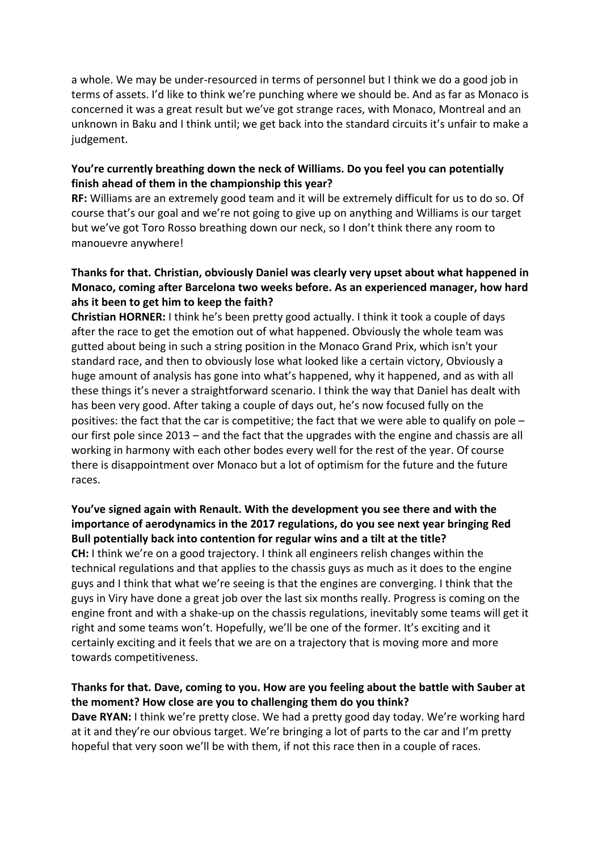a whole. We may be under-resourced in terms of personnel but I think we do a good job in terms of assets. I'd like to think we're punching where we should be. And as far as Monaco is concerned it was a great result but we've got strange races, with Monaco, Montreal and an unknown in Baku and I think until; we get back into the standard circuits it's unfair to make a judgement. 

### **You're currently breathing down the neck of Williams. Do you feel you can potentially** finish ahead of them in the championship this year?

**RF:** Williams are an extremely good team and it will be extremely difficult for us to do so. Of course that's our goal and we're not going to give up on anything and Williams is our target but we've got Toro Rosso breathing down our neck, so I don't think there any room to manouevre anywhere!

# Thanks for that. Christian, obviously Daniel was clearly very upset about what happened in **Monaco, coming after Barcelona two weeks before. As an experienced manager, how hard** ahs it been to get him to keep the faith?

**Christian HORNER:** I think he's been pretty good actually. I think it took a couple of days after the race to get the emotion out of what happened. Obviously the whole team was gutted about being in such a string position in the Monaco Grand Prix, which isn't your standard race, and then to obviously lose what looked like a certain victory, Obviously a huge amount of analysis has gone into what's happened, why it happened, and as with all these things it's never a straightforward scenario. I think the way that Daniel has dealt with has been very good. After taking a couple of days out, he's now focused fully on the positives: the fact that the car is competitive; the fact that we were able to qualify on pole  $$ our first pole since 2013 – and the fact that the upgrades with the engine and chassis are all working in harmony with each other bodes every well for the rest of the year. Of course there is disappointment over Monaco but a lot of optimism for the future and the future races. 

# **You've signed again with Renault. With the development you see there and with the** importance of aerodynamics in the 2017 regulations, do you see next year bringing Red **Bull potentially back into contention for regular wins and a tilt at the title?**

**CH:** I think we're on a good trajectory. I think all engineers relish changes within the technical regulations and that applies to the chassis guys as much as it does to the engine guys and I think that what we're seeing is that the engines are converging. I think that the guys in Viry have done a great job over the last six months really. Progress is coming on the engine front and with a shake-up on the chassis regulations, inevitably some teams will get it right and some teams won't. Hopefully, we'll be one of the former. It's exciting and it certainly exciting and it feels that we are on a trajectory that is moving more and more towards competitiveness.

### Thanks for that. Dave, coming to you. How are you feeling about the battle with Sauber at the moment? How close are you to challenging them do you think?

**Dave RYAN:** I think we're pretty close. We had a pretty good day today. We're working hard at it and they're our obvious target. We're bringing a lot of parts to the car and I'm pretty hopeful that very soon we'll be with them, if not this race then in a couple of races.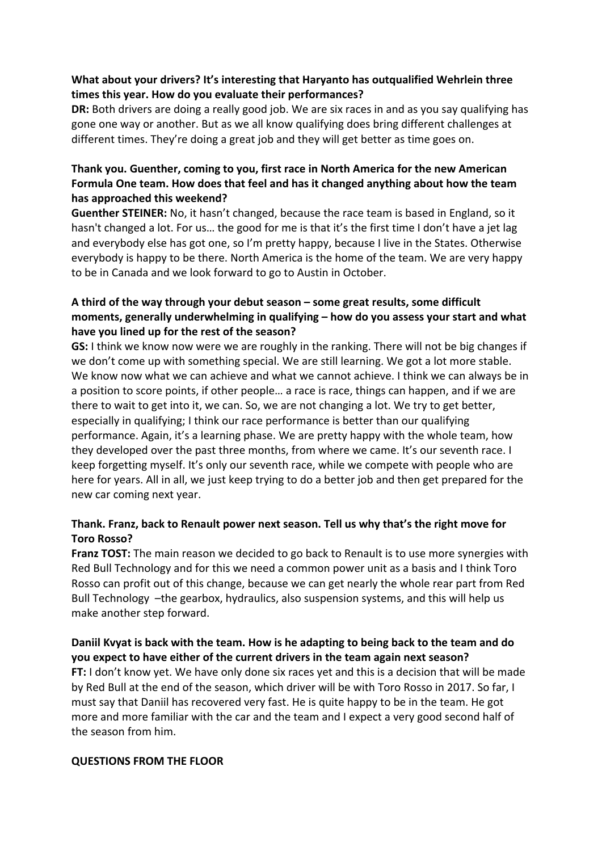## **What about your drivers? It's interesting that Haryanto has outqualified Wehrlein three** times this year. How do you evaluate their performances?

**DR:** Both drivers are doing a really good job. We are six races in and as you say qualifying has gone one way or another. But as we all know qualifying does bring different challenges at different times. They're doing a great job and they will get better as time goes on.

# Thank you. Guenther, coming to you, first race in North America for the new American Formula One team. How does that feel and has it changed anything about how the team has approached this weekend?

**Guenther STEINER:** No, it hasn't changed, because the race team is based in England, so it hasn't changed a lot. For us... the good for me is that it's the first time I don't have a jet lag and everybody else has got one, so I'm pretty happy, because I live in the States. Otherwise everybody is happy to be there. North America is the home of the team. We are very happy to be in Canada and we look forward to go to Austin in October.

# A third of the way through your debut season – some great results, some difficult **moments, generally underwhelming in qualifying – how do you assess your start and what** have you lined up for the rest of the season?

**GS:** I think we know now were we are roughly in the ranking. There will not be big changes if we don't come up with something special. We are still learning. We got a lot more stable. We know now what we can achieve and what we cannot achieve. I think we can always be in a position to score points, if other people... a race is race, things can happen, and if we are there to wait to get into it, we can. So, we are not changing a lot. We try to get better, especially in qualifying; I think our race performance is better than our qualifying performance. Again, it's a learning phase. We are pretty happy with the whole team, how they developed over the past three months, from where we came. It's our seventh race. I keep forgetting myself. It's only our seventh race, while we compete with people who are here for years. All in all, we just keep trying to do a better job and then get prepared for the new car coming next year.

# Thank. Franz, back to Renault power next season. Tell us why that's the right move for **Toro Rosso?**

**Franz TOST:** The main reason we decided to go back to Renault is to use more synergies with Red Bull Technology and for this we need a common power unit as a basis and I think Toro Rosso can profit out of this change, because we can get nearly the whole rear part from Red Bull Technology  $-$ the gearbox, hydraulics, also suspension systems, and this will help us make another step forward.

Daniil Kvyat is back with the team. How is he adapting to being back to the team and do **you expect to have either of the current drivers in the team again next season? FT:** I don't know yet. We have only done six races yet and this is a decision that will be made by Red Bull at the end of the season, which driver will be with Toro Rosso in 2017. So far, I must say that Daniil has recovered very fast. He is quite happy to be in the team. He got more and more familiar with the car and the team and I expect a very good second half of the season from him.

### **QUESTIONS FROM THE FLOOR**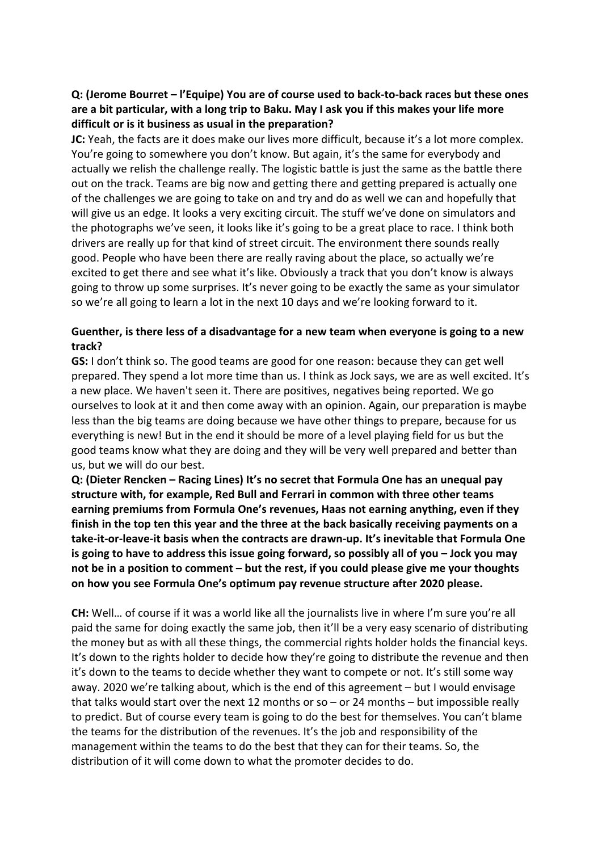# **Q: (Jerome Bourret - l'Equipe) You are of course used to back-to-back races but these ones** are a bit particular, with a long trip to Baku. May I ask you if this makes your life more difficult or is it business as usual in the preparation?

**JC:** Yeah, the facts are it does make our lives more difficult, because it's a lot more complex. You're going to somewhere you don't know. But again, it's the same for everybody and actually we relish the challenge really. The logistic battle is just the same as the battle there out on the track. Teams are big now and getting there and getting prepared is actually one of the challenges we are going to take on and try and do as well we can and hopefully that will give us an edge. It looks a very exciting circuit. The stuff we've done on simulators and the photographs we've seen, it looks like it's going to be a great place to race. I think both drivers are really up for that kind of street circuit. The environment there sounds really good. People who have been there are really raving about the place, so actually we're excited to get there and see what it's like. Obviously a track that you don't know is always going to throw up some surprises. It's never going to be exactly the same as your simulator so we're all going to learn a lot in the next 10 days and we're looking forward to it.

### Guenther, is there less of a disadvantage for a new team when everyone is going to a new **track?**

**GS:** I don't think so. The good teams are good for one reason: because they can get well prepared. They spend a lot more time than us. I think as Jock says, we are as well excited. It's a new place. We haven't seen it. There are positives, negatives being reported. We go ourselves to look at it and then come away with an opinion. Again, our preparation is maybe less than the big teams are doing because we have other things to prepare, because for us everything is new! But in the end it should be more of a level playing field for us but the good teams know what they are doing and they will be very well prepared and better than us, but we will do our best.

**Q: (Dieter Rencken – Racing Lines) It's no secret that Formula One has an unequal pay** structure with, for example, Red Bull and Ferrari in common with three other teams earning premiums from Formula One's revenues, Haas not earning anything, even if they finish in the top ten this year and the three at the back basically receiving payments on a take-it-or-leave-it basis when the contracts are drawn-up. It's inevitable that Formula One **is going to have to address this issue going forward, so possibly all of you – Jock you may** not be in a position to comment – but the rest, if you could please give me your thoughts on how you see Formula One's optimum pay revenue structure after 2020 please.

**CH:** Well... of course if it was a world like all the journalists live in where I'm sure you're all paid the same for doing exactly the same job, then it'll be a very easy scenario of distributing the money but as with all these things, the commercial rights holder holds the financial keys. It's down to the rights holder to decide how they're going to distribute the revenue and then it's down to the teams to decide whether they want to compete or not. It's still some way away. 2020 we're talking about, which is the end of this agreement  $-$  but I would envisage that talks would start over the next 12 months or so – or 24 months – but impossible really to predict. But of course every team is going to do the best for themselves. You can't blame the teams for the distribution of the revenues. It's the job and responsibility of the management within the teams to do the best that they can for their teams. So, the distribution of it will come down to what the promoter decides to do.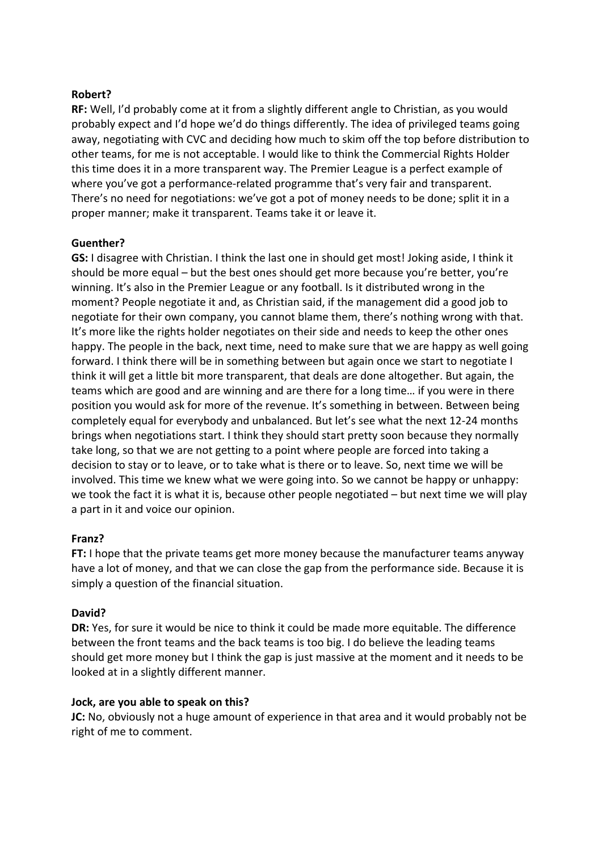#### **Robert?**

**RF:** Well, I'd probably come at it from a slightly different angle to Christian, as you would probably expect and I'd hope we'd do things differently. The idea of privileged teams going away, negotiating with CVC and deciding how much to skim off the top before distribution to other teams, for me is not acceptable. I would like to think the Commercial Rights Holder this time does it in a more transparent way. The Premier League is a perfect example of where you've got a performance-related programme that's very fair and transparent. There's no need for negotiations: we've got a pot of money needs to be done; split it in a proper manner; make it transparent. Teams take it or leave it.

#### **Guenther?**

**GS:** I disagree with Christian. I think the last one in should get most! Joking aside, I think it should be more equal – but the best ones should get more because you're better, you're winning. It's also in the Premier League or any football. Is it distributed wrong in the moment? People negotiate it and, as Christian said, if the management did a good job to negotiate for their own company, you cannot blame them, there's nothing wrong with that. It's more like the rights holder negotiates on their side and needs to keep the other ones happy. The people in the back, next time, need to make sure that we are happy as well going forward. I think there will be in something between but again once we start to negotiate I think it will get a little bit more transparent, that deals are done altogether. But again, the teams which are good and are winning and are there for a long time... if you were in there position you would ask for more of the revenue. It's something in between. Between being completely equal for everybody and unbalanced. But let's see what the next 12-24 months brings when negotiations start. I think they should start pretty soon because they normally take long, so that we are not getting to a point where people are forced into taking a decision to stay or to leave, or to take what is there or to leave. So, next time we will be involved. This time we knew what we were going into. So we cannot be happy or unhappy: we took the fact it is what it is, because other people negotiated  $-$  but next time we will play a part in it and voice our opinion.

#### **Franz?**

**FT:** I hope that the private teams get more money because the manufacturer teams anyway have a lot of money, and that we can close the gap from the performance side. Because it is simply a question of the financial situation.

#### **David?**

**DR:** Yes, for sure it would be nice to think it could be made more equitable. The difference between the front teams and the back teams is too big. I do believe the leading teams should get more money but I think the gap is just massive at the moment and it needs to be looked at in a slightly different manner.

#### **Jock, are you able to speak on this?**

**JC:** No, obviously not a huge amount of experience in that area and it would probably not be right of me to comment.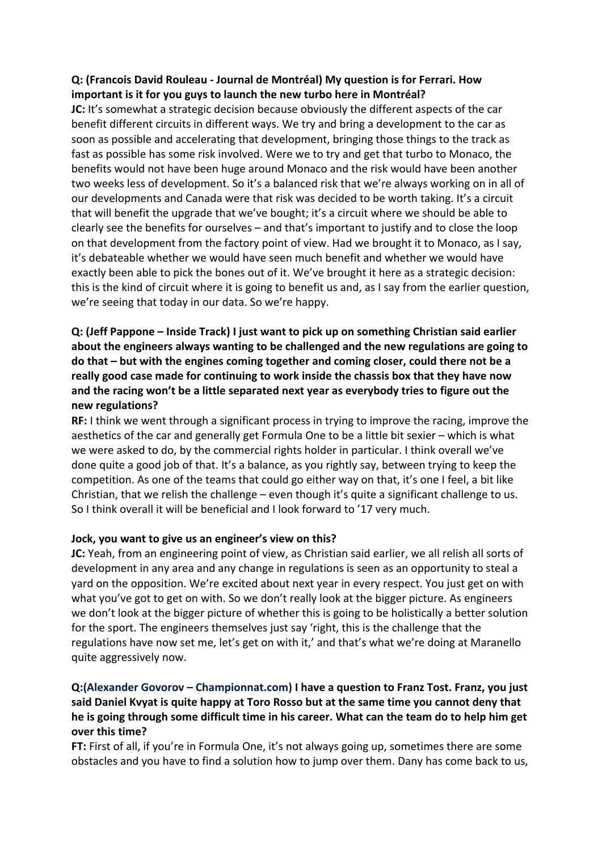# **Q: (Francois David Rouleau - Journal de Montréal) My question is for Ferrari. How**  important is it for you guys to launch the new turbo here in Montréal?

**JC:** It's somewhat a strategic decision because obviously the different aspects of the car benefit different circuits in different ways. We try and bring a development to the car as soon as possible and accelerating that development, bringing those things to the track as fast as possible has some risk involved. Were we to try and get that turbo to Monaco, the benefits would not have been huge around Monaco and the risk would have been another two weeks less of development. So it's a balanced risk that we're always working on in all of our developments and Canada were that risk was decided to be worth taking. It's a circuit that will benefit the upgrade that we've bought; it's a circuit where we should be able to clearly see the benefits for ourselves  $-$  and that's important to justify and to close the loop on that development from the factory point of view. Had we brought it to Monaco, as I say, it's debateable whether we would have seen much benefit and whether we would have exactly been able to pick the bones out of it. We've brought it here as a strategic decision: this is the kind of circuit where it is going to benefit us and, as I say from the earlier question, we're seeing that today in our data. So we're happy.

# **Q:** (Jeff Pappone – Inside Track) I just want to pick up on something Christian said earlier about the engineers always wanting to be challenged and the new regulations are going to do that – but with the engines coming together and coming closer, could there not be a really good case made for continuing to work inside the chassis box that they have now and the racing won't be a little separated next year as everybody tries to figure out the **new regulations?**

**RF:** I think we went through a significant process in trying to improve the racing, improve the aesthetics of the car and generally get Formula One to be a little bit sexier – which is what we were asked to do, by the commercial rights holder in particular. I think overall we've done quite a good job of that. It's a balance, as you rightly say, between trying to keep the competition. As one of the teams that could go either way on that, it's one I feel, a bit like Christian, that we relish the challenge – even though it's quite a significant challenge to us. So I think overall it will be beneficial and I look forward to '17 very much.

### **Jock, you want to give us an engineer's view on this?**

**JC:** Yeah, from an engineering point of view, as Christian said earlier, we all relish all sorts of development in any area and any change in regulations is seen as an opportunity to steal a yard on the opposition. We're excited about next year in every respect. You just get on with what you've got to get on with. So we don't really look at the bigger picture. As engineers we don't look at the bigger picture of whether this is going to be holistically a better solution for the sport. The engineers themselves just say 'right, this is the challenge that the regulations have now set me, let's get on with it,' and that's what we're doing at Maranello quite aggressively now.

# **Q:(Alexander Govorov – Championnat.com)** I have a question to Franz Tost. Franz, you just said Daniel Kyyat is quite happy at Toro Rosso but at the same time you cannot deny that he is going through some difficult time in his career. What can the team do to help him get **over this time?**

**FT:** First of all, if you're in Formula One, it's not always going up, sometimes there are some obstacles and you have to find a solution how to jump over them. Dany has come back to us,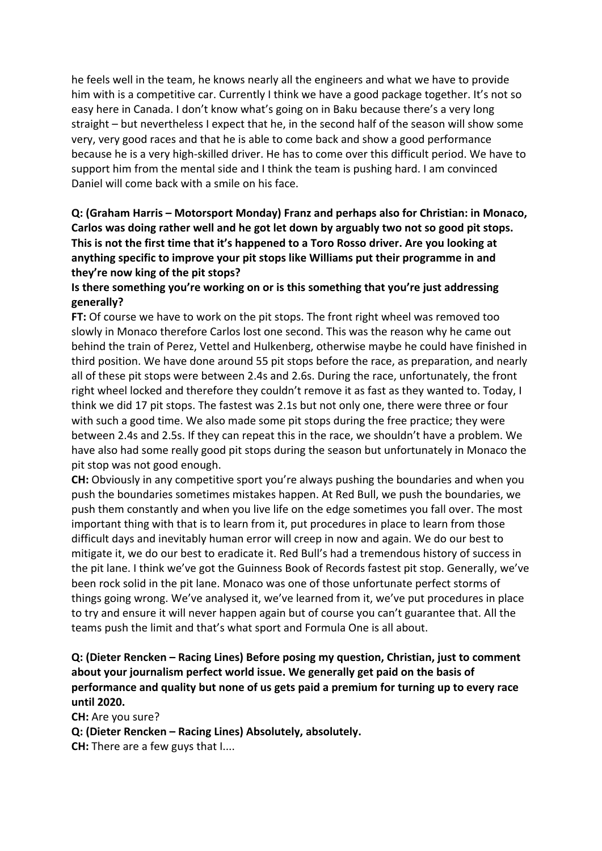he feels well in the team, he knows nearly all the engineers and what we have to provide him with is a competitive car. Currently I think we have a good package together. It's not so easy here in Canada. I don't know what's going on in Baku because there's a very long straight  $-$  but nevertheless I expect that he, in the second half of the season will show some very, very good races and that he is able to come back and show a good performance because he is a very high-skilled driver. He has to come over this difficult period. We have to support him from the mental side and I think the team is pushing hard. I am convinced Daniel will come back with a smile on his face.

# **Q: (Graham Harris – Motorsport Monday) Franz and perhaps also for Christian: in Monaco,** Carlos was doing rather well and he got let down by arguably two not so good pit stops. **This is not the first time that it's happened to a Toro Rosso driver. Are you looking at** anything specific to improve your pit stops like Williams put their programme in and they're now king of the pit stops?

## **Is there something you're working on or is this something that you're just addressing generally?**

**FT:** Of course we have to work on the pit stops. The front right wheel was removed too slowly in Monaco therefore Carlos lost one second. This was the reason why he came out behind the train of Perez, Vettel and Hulkenberg, otherwise maybe he could have finished in third position. We have done around 55 pit stops before the race, as preparation, and nearly all of these pit stops were between 2.4s and 2.6s. During the race, unfortunately, the front right wheel locked and therefore they couldn't remove it as fast as they wanted to. Today, I think we did 17 pit stops. The fastest was 2.1s but not only one, there were three or four with such a good time. We also made some pit stops during the free practice; they were between 2.4s and 2.5s. If they can repeat this in the race, we shouldn't have a problem. We have also had some really good pit stops during the season but unfortunately in Monaco the pit stop was not good enough.

**CH:** Obviously in any competitive sport you're always pushing the boundaries and when you push the boundaries sometimes mistakes happen. At Red Bull, we push the boundaries, we push them constantly and when you live life on the edge sometimes you fall over. The most important thing with that is to learn from it, put procedures in place to learn from those difficult days and inevitably human error will creep in now and again. We do our best to mitigate it, we do our best to eradicate it. Red Bull's had a tremendous history of success in the pit lane. I think we've got the Guinness Book of Records fastest pit stop. Generally, we've been rock solid in the pit lane. Monaco was one of those unfortunate perfect storms of things going wrong. We've analysed it, we've learned from it, we've put procedures in place to try and ensure it will never happen again but of course you can't guarantee that. All the teams push the limit and that's what sport and Formula One is all about.

## **Q: (Dieter Rencken – Racing Lines) Before posing my question, Christian, just to comment** about your journalism perfect world issue. We generally get paid on the basis of **performance and quality but none of us gets paid a premium for turning up to every race until 2020.**

**CH:** Are you sure? **Q: (Dieter Rencken – Racing Lines) Absolutely, absolutely. CH:** There are a few guys that I....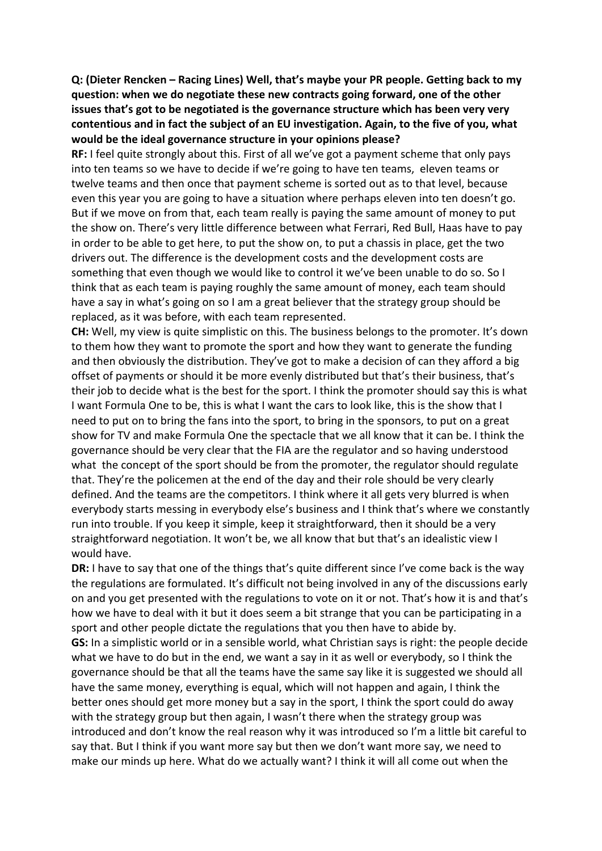**Q:** (Dieter Rencken – Racing Lines) Well, that's maybe your PR people. Getting back to my question: when we do negotiate these new contracts going forward, one of the other **issues that's got to be negotiated is the governance structure which has been very very** contentious and in fact the subject of an EU investigation. Again, to the five of you, what would be the ideal governance structure in your opinions please?

**RF:** I feel quite strongly about this. First of all we've got a payment scheme that only pays into ten teams so we have to decide if we're going to have ten teams, eleven teams or twelve teams and then once that payment scheme is sorted out as to that level, because even this year you are going to have a situation where perhaps eleven into ten doesn't go. But if we move on from that, each team really is paying the same amount of money to put the show on. There's very little difference between what Ferrari, Red Bull, Haas have to pay in order to be able to get here, to put the show on, to put a chassis in place, get the two drivers out. The difference is the development costs and the development costs are something that even though we would like to control it we've been unable to do so. So I think that as each team is paying roughly the same amount of money, each team should have a say in what's going on so I am a great believer that the strategy group should be replaced, as it was before, with each team represented.

**CH:** Well, my view is quite simplistic on this. The business belongs to the promoter. It's down to them how they want to promote the sport and how they want to generate the funding and then obviously the distribution. They've got to make a decision of can they afford a big offset of payments or should it be more evenly distributed but that's their business, that's their job to decide what is the best for the sport. I think the promoter should say this is what I want Formula One to be, this is what I want the cars to look like, this is the show that I need to put on to bring the fans into the sport, to bring in the sponsors, to put on a great show for TV and make Formula One the spectacle that we all know that it can be. I think the governance should be very clear that the FIA are the regulator and so having understood what the concept of the sport should be from the promoter, the regulator should regulate that. They're the policemen at the end of the day and their role should be very clearly defined. And the teams are the competitors. I think where it all gets very blurred is when everybody starts messing in everybody else's business and I think that's where we constantly run into trouble. If you keep it simple, keep it straightforward, then it should be a very straightforward negotiation. It won't be, we all know that but that's an idealistic view  $\vert$ would have.

**DR:** I have to say that one of the things that's quite different since I've come back is the way the regulations are formulated. It's difficult not being involved in any of the discussions early on and you get presented with the regulations to vote on it or not. That's how it is and that's how we have to deal with it but it does seem a bit strange that you can be participating in a sport and other people dictate the regulations that you then have to abide by. **GS:** In a simplistic world or in a sensible world, what Christian says is right: the people decide what we have to do but in the end, we want a say in it as well or everybody, so I think the governance should be that all the teams have the same say like it is suggested we should all have the same money, everything is equal, which will not happen and again, I think the better ones should get more money but a say in the sport, I think the sport could do away with the strategy group but then again, I wasn't there when the strategy group was introduced and don't know the real reason why it was introduced so I'm a little bit careful to say that. But I think if you want more say but then we don't want more say, we need to make our minds up here. What do we actually want? I think it will all come out when the